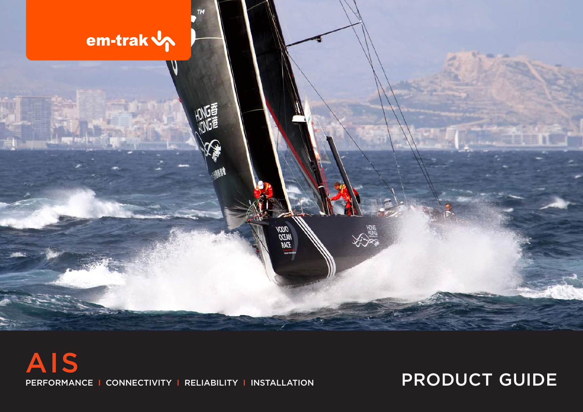

PERFORMANCE I CONNECTIVITY I RELIABILITY I INSTALLATION PRODUCT GUIDE AIS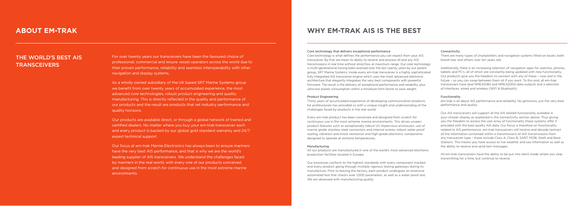For over twenty years our transceivers have been the favoured choice of professional, commercial and leisure vessel operators across the world due to their proven performance, reliability and seamless interoperability with other navigation and display systems.

As a wholly owned subsidiary of the UK based SRT Marine Systems group we benefit from over twenty years of accumulated experience, the most advanced core technologies, robust product engineering and quality manufacturing. This is directly reflected in the quality and performance of our products and the result are products that set industry performance and quality horizons.

### THE WORLD'S BEST AIS **TRANSCEIVERS**

Our products are available direct, or through a global network of trained and certified dealers. No matter where you buy your em-trak transceiver each and every product is backed by our global gold standard warranty and 24/7 expert technical support.

Our focus at em-trak Marine Electronics has always been to ensure mariners have the very best AIS performance, and that is why we are the world's leading supplier of AIS transceivers. We understand the challenges faced by mariners in the real world, with every one of our products conceived and designed from scratch for continuous use in the most extreme marine environments.



## **ABOUT EM-TRAK**

# **WHY EM-TRAK AIS IS THE BEST**

#### Core technology that delivers exceptional performance

Our processes conform to the highest standards with every component tracked and every product going through multiple rigorous testing gateways during its manufacture. Prior to leaving the factory, each product undergoes an extensive automated test that checks over 1,000 parameters, as well as a water proof test. We are obsessed with manufacturing quality.

Core technology is what defines the performance you can expect from your AIS transceiver. By that we mean its ability to receive and process all and any AIS transmissions in real time without error/loss at maximum range. Our core technology is multi-generational having been evolved over the last twenty years by our parent group, SRT Marine Systems. Inside every em-trak transceiver is a highly sophisticated fully integrated AIS transceiver engine which uses the most advanced electronic architecture that elegantly integrates the very best components with powerful firmware. The result is the delivery of exceptional performance and reliability, plus ultra-low power consumption within a miniature form factor to save weight.

#### Product Engineering

Thirty years of accumulated experience of developing communication products for professionals has provided us with a unique insight and understanding of the challenges faced by products in the real world.

Every em-trak product has been conceived and designed from scratch for continuous use in the most extreme marine environments. This drives unseen product features such as exceptionally robust UV impervious enclosures, use of marine grade stainless steel connectors and internal screws, robust water proof sealing, vibration and shock resistance and high-grade electronic components designed to operate at extreme temperatures.

#### Manufacturing

All our products are manufactured in one of the world's most advanced electronic production facilities located in Europe.

#### Connectivity

There are many types of chartplotters and navigation systems fitted on boats; both brand new and others over ten years old.

Additionally, there is an increasing selection of navigation apps for watches, phones, tablets and PC's, all of which are constantly being updated with new functionality. Our products give you the freedom to connect with any of these – now and in the future – so you can swap between them all if you want. To this end, all em-trak transceivers have dual NMEA0183 and NMEA2000 data outputs and a selection of interfaces, wired and wireless (WiFi & Bluetooth).

#### Functionality

em-trak is all about AIS performance and reliability. No gimmicks, just the very best performance and quality.

Our AIS transceivers will support all the AIS related functionality available in your chosen display as explained in the connectivity section above. Thus giving you the freedom to access the vast array of functionality these systems offer if provided with the best quality AIS data. Our focus is therefore on functionality related to AIS performance. em-trak transceivers will receive and decode (extract all the information contained within a transmission) all AIS transmissions from any transceiver type – these include Class A, Class B, SART, MOB, AtoN and Base Stations. This means you have access to live weather and sea information as well as the ability to receive and send text messages.

All em-trak transceivers have the ability to be put into silent mode where you stop transmitting for a time, but continue to receive.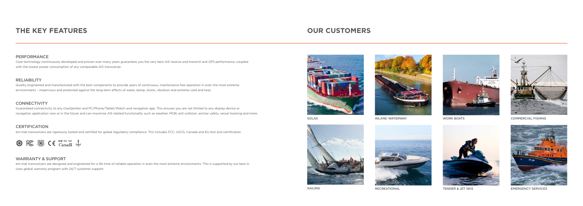# **THE KEY FEATURES OUR CUSTOMERS**

### PERFORMANCE

Core technology continuously developed and proven over many years guarantees you the very best AIS receive and transmit and GPS performance, coupled with the lowest power consumption of any comparable AIS transceiver.

### RELIABILITY

Quality engineered and manufactured with the best components to provide years of continuous, maintenance free operation in even the most extreme environments – impervious and protected against the long-term effects of water, damp, shock, vibration and extreme cold and heat.

### **CONNECTIVITY**

Guaranteed connectivity to any chartplotter and PC/Phone/Tablet/Watch and navigation app. This ensures you are not limited to any display device or navigation application now or in the future and can maximise AIS related functionality such as weather, MOB, anti-collision, anchor safety, vessel tracking and more.

### **CERTIFICATION**

em-trak transceivers are rigorously tested and certified for global regulatory compliance. This includes FCC, USCG, Canada and EU test and certification.



### WARRANTY & SUPPORT

em-trak transceivers are designed and engineered for a life time of reliable operation in even the most extreme environments. This is supported by our best in class global warranty program with 24/7 customer support.











WORK BOATS



INLAND WATERWAY **COMMERCIAL FISHING** 

SAILING







RECREATIONAL TENDER & JET SKIS EMERGENCY SERVICES

SOLAS

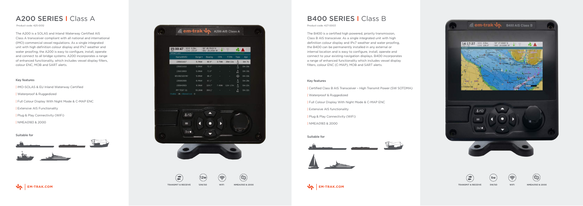# A200 SERIES I Class A B400 SERIES I Class B

The B400 is a certified high powered, priority transmission, Class B AIS transceiver. As a single integrated unit with high definition colour display and IPx7 weather and water proofing, the B400 can be permanently installed in any external or internal location and is easy to configure, install, operate and connect to your existing navigation displays. B400 incorporates a range of enhanced functionality which includes vessel display filters, colour ENC (C-MAP), MOB and SART alerts.

### Key features

| Waterproof & Ruggedized

| NMEA0183 & 2000

### Key features

- | Certified Class B AIS Transceiver High Transmit Power (5W SOTDMA)
- | Waterproof & Ruggedized
- | Full Colour Display With Night Mode & C-MAP ENC
- | Extensive AIS functionality
- | Plug & Play Connectivity (WiFi)
- | NMEA0183 & 2000

Suitable for









#### Suitable for



| Product code: 425-0012                                                                                                     |                                                           |         |                                   |                          |                  |                |               |  | Product code: 427-0003                     |
|----------------------------------------------------------------------------------------------------------------------------|-----------------------------------------------------------|---------|-----------------------------------|--------------------------|------------------|----------------|---------------|--|--------------------------------------------|
| The A200 is a SOLAS and Inland Waterway Certified AIS<br>Class A transceiver compliant with all national and international | <b>Exam-trak Vo</b>                                       |         |                                   |                          | A200 AIS Class A |                |               |  | The B400 is a certi<br>Class B AIS transce |
| (IMO) commercial vessel regulations. As a single integrated                                                                |                                                           |         |                                   |                          |                  |                |               |  | definition colour di                       |
| unit with high definition colour display and IPx7 weather and                                                              | SOG 0.5kn<br>$\left  \frac{15:00:47}{\text{UTC}} \right $ |         | 50° 45.7915' N<br>001° 15.2454' W |                          |                  | $6. \triangle$ |               |  | the B400 can be p                          |
| water proofing, the A200 is easy to configure, install, operate                                                            | <b>TARGET LIST</b>                                        |         |                                   |                          |                  |                |               |  | internal location an                       |
| and connect to all bridge systems. A200 incorporates a range                                                               | Name/MMSI                                                 | Range - | Bearing                           | <b>CPA</b>               | <b>TCPA</b>      | Type           | Age           |  | connect to your exi                        |
| of enhanced functionality, which includes vessel display filters,                                                          | 235031617                                                 | 5.7NM   | $80.9^\circ$                      |                          | 3.7NM 26m 11s    |                | $0m$ 7s       |  | a range of enhance                         |
| colour ENC, MOB and SART alerts.                                                                                           | 235031618                                                 | 5.8NM   | $72.3^{\circ}$                    |                          |                  |                | <b>0m 18s</b> |  | filters, colour ENC (                      |
|                                                                                                                            | 235010000                                                 | 5.8NM   | $71.0^\circ$                      |                          |                  |                | 0m 30s        |  |                                            |
|                                                                                                                            | BS:002320787                                              | 5.9NM   | 68.2°                             |                          |                  | $\circledast$  | 0m 10s        |  |                                            |
| Key features                                                                                                               | 235082006                                                 | 6.4NM   | 67.1°                             | <b>Contract Contract</b> |                  |                | 0m 28s        |  | Key features                               |
| IMO-SOLAS & EU Inland Waterway Certified                                                                                   | 235040503                                                 | 9.3NM   | $324.7^{\circ}$                   |                          | 7.4NM 11hr 17m   |                | <b>Dm 22s</b> |  |                                            |
|                                                                                                                            | PP TEST 31                                                | 55.3NM  | $304.1^{\circ}$                   |                          |                  | $\Lambda$      | 0m 32s        |  | Certified Class B A                        |
| Waterproof & Ruggedized                                                                                                    | Visible: 36 Filtered out: 0                               |         |                                   |                          |                  |                |               |  | Waterproof & Rug                           |
| Full Colour Display With Night Mode & C-MAP ENC                                                                            |                                                           |         |                                   |                          |                  |                |               |  | Full Colour Display                        |
| <b>Extensive AIS Functionality</b>                                                                                         |                                                           |         |                                   |                          |                  |                |               |  | <b>Extensive AIS fun</b>                   |
| Plug & Play Connectivity (WiFi)                                                                                            | 土层                                                        |         |                                   |                          |                  |                |               |  | Plug & Play Conne                          |
| NMEA0183 & 2000                                                                                                            | $\equiv$                                                  |         |                                   |                          |                  |                |               |  | NMFA0183 & 200                             |



 $\bigoplus$ 

 $D/A$ 

 $(12w)$ 

 $(\widehat{\mathcal{Z}})$ 

 $\odot$ 

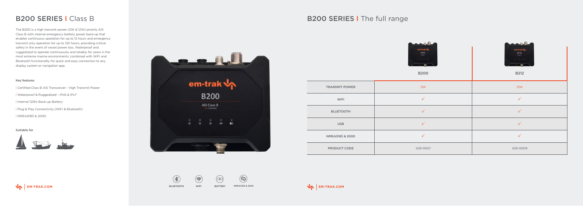# B200 SERIES I Class B

The B200 is a high transmit power (5W & 12W) priority AIS Class B with internal emergency battery power back-up that enables continuous operation for up to 12 hours and emergency transmit only operation for up to 120 hours, providing critical safety in the event of vessel power loss. Waterproof and ruggedized to operate continuously and reliably for years in the most extreme marine environments; combined with WiFi and Bluetooth functionality for quick and easy connection to any display system or navigation app.

### Key features

| Certified Class B AIS Transceiver – High Transmit Power

| Waterproof & Ruggedized – IPx6 & IPx7

| Internal 120hr Back-up Battery

| Plug & Play Connectivity (WiFi & Bluetooth)

| NMEA0183 & 2000

#### Suitable for









 $\bigoplus$ 



**BLUETOOTH WIFI BATTERY**

 $\circledR$ 



## B200 SERIES I The full range

|                       | فالبائدي<br>em-trak v<br>$\underset{\scriptscriptstyle{\text{num}}}{\text{B200}}$<br>$-1$ $-1$ $-1$ $-1$ $-1$<br><b>B200</b> | <b>LARIA</b><br>em-trak up<br>$\begin{array}{c}\n\hline\n\text{B212}\n\\ \hline\n\text{Mean} \\ \hline\n\end{array}$<br>$-1$ , $-1$ , $-1$ , $-1$ , $-1$<br><b>B212</b> |
|-----------------------|------------------------------------------------------------------------------------------------------------------------------|-------------------------------------------------------------------------------------------------------------------------------------------------------------------------|
| <b>TRANSMIT POWER</b> | 5W                                                                                                                           | 12W                                                                                                                                                                     |
| WiFi                  | $\checkmark$                                                                                                                 | $\checkmark$                                                                                                                                                            |
| <b>BLUETOOTH</b>      | $\checkmark$                                                                                                                 | $\checkmark$                                                                                                                                                            |
| <b>USB</b>            | $\checkmark$                                                                                                                 | $\checkmark$                                                                                                                                                            |
| NMEA0183 & 2000       | $\checkmark$                                                                                                                 | $\checkmark$                                                                                                                                                            |
| PRODUCT CODE          | 429-0007                                                                                                                     | 429-0009                                                                                                                                                                |



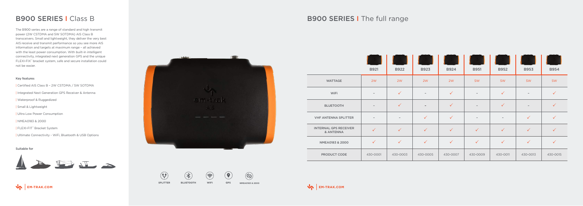| Certified AIS Class B – 2W CSTDMA / 5W SOTDMA | Integrated Next Generation GPS Receiver & Antenna | Waterproof & Ruggedized | Small & Lightweight | Ultra Low Power Consumption

The B900 series are a range of standard and high transmit power (2W CSTDMA and 5W SOTDMA) AIS Class B transceivers. Small and lightweight, they deliver the very best AIS receive and transmit performance so you see more AIS information and targets at maximum range – all achieved with the least power consumption. With built-in intelligent connectivity, integrated next generation GPS and the unique FLEXI-FIX™ bracket system, safe and secure installation could not be easier.

### Key features

 $\circledast$  $\circledast$  $\circledR$  $\left( \bigodot$ **SPLITTER BLUETOOTH WIFI GPS NMEA0183 & 2000**



 $\odot$ 





| NMEA0183 & 2000

| FLEXI-FIT™ Bracket System

| Ultimate Connectivity - WiFi, Bluetooth & USB Options

|                                           | <b>B921</b>              | <b>B922</b>  | <b>B923</b>              | <b>B924</b>  | <b>B951</b>              | <b>B952</b>              | <b>B953</b>  | <b>B954</b>  |
|-------------------------------------------|--------------------------|--------------|--------------------------|--------------|--------------------------|--------------------------|--------------|--------------|
| <b>WATTAGE</b>                            | 2W                       | 2W           | 2W                       | 2W           | 5W                       | 5W                       | 5W           | 5W           |
| WiFi                                      | $\overline{\phantom{a}}$ | $\checkmark$ | $\overline{\phantom{a}}$ | $\checkmark$ | $\overline{\phantom{a}}$ | $\checkmark$             | $\sim$       | $\checkmark$ |
| <b>BLUETOOTH</b>                          | $\overline{\phantom{a}}$ | $\checkmark$ | $\overline{\phantom{a}}$ | $\checkmark$ | $\overline{\phantom{a}}$ | $\checkmark$             | $\equiv$     | $\checkmark$ |
| <b>VHF ANTENNA SPLITTER</b>               | $\overline{\phantom{a}}$ | $\equiv$     | $\checkmark$             | $\checkmark$ | $\overline{\phantom{a}}$ | $\overline{\phantom{a}}$ | $\checkmark$ | $\checkmark$ |
| <b>INTERNAL GPS RECEIVER</b><br>& ANTENNA | $\checkmark$             | $\checkmark$ | $\checkmark$             | $\checkmark$ | $\checkmark$             | $\checkmark$             | $\checkmark$ | $\checkmark$ |
| NMEA0183 & 2000                           | $\checkmark$             | $\checkmark$ | $\checkmark$             | $\checkmark$ | $\checkmark$             | $\checkmark$             | $\checkmark$ | $\checkmark$ |
| PRODUCT CODE                              | 430-0001                 | 430-0003     | 430-0005                 | 430-0007     | 430-0009                 | 430-0011                 | 430-0013     | 430-0015     |



### Suitable for







## B900 SERIES I Class B B900 SERIES I The full range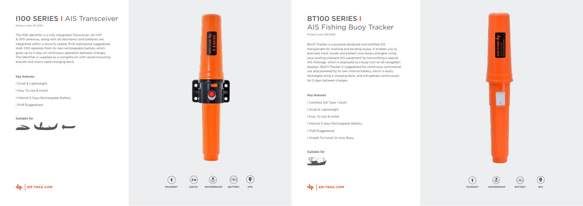# BT100 SERIES I AIS Fishing Buoy Tracker

BUOY-Tracker is a purpose designed and certified AIS transponder for marking and locating buoys. It enables you to precisely track, locate and protect your buoys and gear using your existing onboard AIS equipment by transmitting a special AIS message, which is displayed as a buoy icon on all navigation displays. BUOY-Tracker is ruggedized for continuous commercial use and powered by its own internal battery, which is easily recharged using a charging dock, and will operate continuously for 5 days between charges.

The I100 Identifier is a fully integrated Transceiver. All VHF & GPS antennas, along with all electronics and batteries are integrated within a security sealed, IPx8 waterproof ruggedized shell. I100 operates from its own rechargeable battery which gives up to 5 days of continuous operation between charges. The Identifier is supplied as a complete kit with vessel mounting bracket and mains rapid charging dock.

#### Key features

| Certified AIS Type 1 AtoN

| Small & Lightweight

| Easy To Use & Install

| Internal 5 days Rechargable Battery

| IPx8 Ruggedized

| Simple To Install On Any Buoy

#### Key features

| Small & Lightweight

| Easy To Use & Install

| Internal 5 Days Rechargable Battery

| IPx8 Ruggedized

Suitable for



#### Suitable for











 $\odot$ 

 $\frac{1}{\sqrt{1 \cdot 1} \cdot 1}$ 

**WATERPROOF BATTERY**

## **I100 SERIES | AIS Transceiver**

Product code: 417-0001

Product code: 418-0069



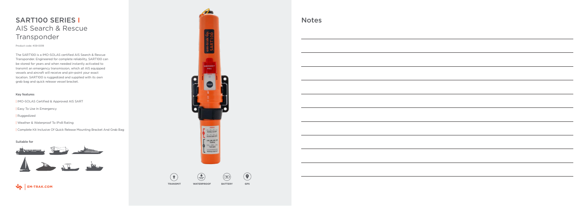# SART100 SERIES I AIS Search & Rescue Transponder

The SART100 is a IMO-SOLAS certified AIS Search & Rescue Transponder. Engineered for complete reliability, SART100 can be stored for years and when needed instantly activated to transmit an emergency transmission, which all AIS equipped vessels and aircraft will receive and pin-point your exact location. SART100 is ruggedized and supplied with its own grab bag and quick release vessel bracket.

### Key features

| IMO-SOLAS Certified & Approved AIS SART

| Easy To Use In Emergency

| Ruggedized

| Weather & Waterproof To IPx8 Rating

| Complete Kit Inclusive Of Quick Release Mounting Bracket And Grab Bag

#### Suitable for



**GPS**



**TRANSMIT WATERPROOF BATTERY**

 $\bigodot$ 

Product code: 409-0018

## Notes

**Contract Contract** 

 $\mathcal{L}^{\text{max}}$  and  $\mathcal{L}^{\text{max}}$ 

 $\sim$  0.000  $\sim$ 

 $\overline{\phantom{a}}$ 

**Contract Contract** 

 $\sim$  100  $\mu$ 

 $\sim$  0.000  $\sim$ 



 $\sim$ 

| <u> 1989 - Andrea Santa Andrea Santa Andrea Santa Andrea Santa Andrea Santa Andrea Santa Andrea Santa Andrea San</u>  |  |
|-----------------------------------------------------------------------------------------------------------------------|--|
|                                                                                                                       |  |
|                                                                                                                       |  |
|                                                                                                                       |  |
|                                                                                                                       |  |
| ,我们也不能在这里的时候,我们也不能在这里的时候,我们也不能会在这里的时候,我们也不能会在这里的时候,我们也不能会在这里的时候,我们也不能会在这里的时候,我们也不                                     |  |
|                                                                                                                       |  |
|                                                                                                                       |  |
|                                                                                                                       |  |
|                                                                                                                       |  |
|                                                                                                                       |  |
|                                                                                                                       |  |
|                                                                                                                       |  |
|                                                                                                                       |  |
|                                                                                                                       |  |
|                                                                                                                       |  |
|                                                                                                                       |  |
|                                                                                                                       |  |
|                                                                                                                       |  |
|                                                                                                                       |  |
|                                                                                                                       |  |
|                                                                                                                       |  |
|                                                                                                                       |  |
| <u> 1989 - Johann Stoff, deutscher Stoffen und der Stoffen und der Stoffen und der Stoffen und der Stoffen und de</u> |  |
|                                                                                                                       |  |
|                                                                                                                       |  |
|                                                                                                                       |  |
|                                                                                                                       |  |
| ,我们也不会有什么。""我们的人,我们也不会有什么?""我们的人,我们也不会有什么?""我们的人,我们也不会有什么?""我们的人,我们也不会有什么?""我们的人                                      |  |
|                                                                                                                       |  |
|                                                                                                                       |  |
|                                                                                                                       |  |
|                                                                                                                       |  |
|                                                                                                                       |  |
|                                                                                                                       |  |
|                                                                                                                       |  |
|                                                                                                                       |  |
|                                                                                                                       |  |
|                                                                                                                       |  |
|                                                                                                                       |  |
|                                                                                                                       |  |
|                                                                                                                       |  |
|                                                                                                                       |  |
|                                                                                                                       |  |
|                                                                                                                       |  |
|                                                                                                                       |  |
|                                                                                                                       |  |
|                                                                                                                       |  |
|                                                                                                                       |  |
|                                                                                                                       |  |
|                                                                                                                       |  |